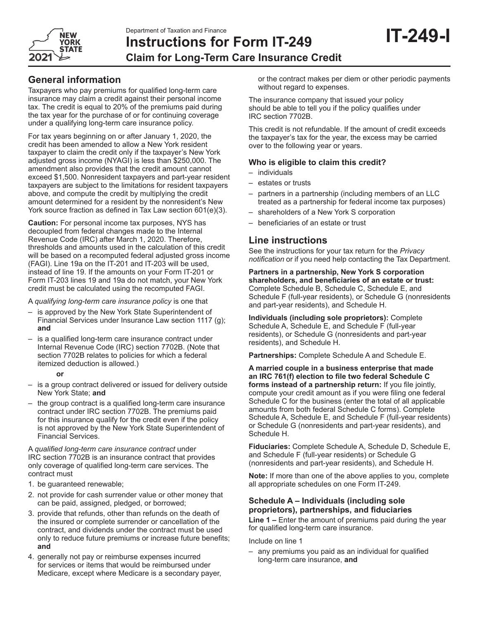

# **Instructions for Form IT-249 Claim for Long-Term Care Insurance Credit**

# **General information**

Taxpayers who pay premiums for qualified long-term care insurance may claim a credit against their personal income tax. The credit is equal to 20% of the premiums paid during the tax year for the purchase of or for continuing coverage under a qualifying long-term care insurance policy.

For tax years beginning on or after January 1, 2020, the credit has been amended to allow a New York resident taxpayer to claim the credit only if the taxpayer's New York adjusted gross income (NYAGI) is less than \$250,000. The amendment also provides that the credit amount cannot exceed \$1,500. Nonresident taxpayers and part-year resident taxpayers are subject to the limitations for resident taxpayers above, and compute the credit by multiplying the credit amount determined for a resident by the nonresident's New York source fraction as defined in Tax Law section 601(e)(3).

**Caution:** For personal income tax purposes, NYS has decoupled from federal changes made to the Internal Revenue Code (IRC) after March 1, 2020. Therefore, thresholds and amounts used in the calculation of this credit will be based on a recomputed federal adjusted gross income (FAGI). Line 19a on the IT-201 and IT-203 will be used, instead of line 19. If the amounts on your Form IT-201 or Form IT-203 lines 19 and 19a do not match, your New York credit must be calculated using the recomputed FAGI.

A *qualifying long-term care insurance policy* is one that

- is approved by the New York State Superintendent of Financial Services under Insurance Law section 1117 (g); **and**
- is a qualified long-term care insurance contract under Internal Revenue Code (IRC) section 7702B. (Note that section 7702B relates to policies for which a federal itemized deduction is allowed.)

#### **or**

- is a group contract delivered or issued for delivery outside New York State; **and**
- the group contract is a qualified long-term care insurance contract under IRC section 7702B. The premiums paid for this insurance qualify for the credit even if the policy is not approved by the New York State Superintendent of Financial Services.

A *qualified long-term care insurance contract* under IRC section 7702B is an insurance contract that provides only coverage of qualified long‑term care services. The contract must

- 1. be guaranteed renewable;
- 2. not provide for cash surrender value or other money that can be paid, assigned, pledged, or borrowed;
- 3. provide that refunds, other than refunds on the death of the insured or complete surrender or cancellation of the contract, and dividends under the contract must be used only to reduce future premiums or increase future benefits; **and**
- 4. generally not pay or reimburse expenses incurred for services or items that would be reimbursed under Medicare, except where Medicare is a secondary payer,

or the contract makes per diem or other periodic payments without regard to expenses.

The insurance company that issued your policy should be able to tell you if the policy qualifies under IRC section 7702B.

This credit is not refundable. If the amount of credit exceeds the taxpayer's tax for the year, the excess may be carried over to the following year or years.

## **Who is eligible to claim this credit?**

- individuals
- estates or trusts
- partners in a partnership (including members of an LLC treated as a partnership for federal income tax purposes)
- shareholders of a New York S corporation
- beneficiaries of an estate or trust

# **Line instructions**

See the instructions for your tax return for the *Privacy notification* or if you need help contacting the Tax Department.

**Partners in a partnership, New York S corporation shareholders, and beneficiaries of an estate or trust:** Complete Schedule B, Schedule C, Schedule E, and Schedule F (full-year residents), or Schedule G (nonresidents and part-year residents), and Schedule H.

**Individuals (including sole proprietors):** Complete Schedule A, Schedule E, and Schedule F (full-year residents), or Schedule G (nonresidents and part-year residents), and Schedule H.

**Partnerships:** Complete Schedule A and Schedule E.

**A married couple in a business enterprise that made an IRC 761(f) election to file two federal Schedule C forms instead of a partnership return:** If you file jointly, compute your credit amount as if you were filing one federal Schedule C for the business (enter the total of all applicable amounts from both federal Schedule C forms). Complete Schedule A, Schedule E, and Schedule F (full-year residents) or Schedule G (nonresidents and part-year residents), and Schedule H.

**Fiduciaries:** Complete Schedule A, Schedule D, Schedule E, and Schedule F (full-year residents) or Schedule G (nonresidents and part-year residents), and Schedule H.

**Note:** If more than one of the above applies to you, complete all appropriate schedules on one Form IT-249.

### **Schedule A – Individuals (including sole proprietors), partnerships, and fiduciaries**

**Line 1 –** Enter the amount of premiums paid during the year for qualified long-term care insurance.

Include on line 1

– any premiums you paid as an individual for qualified long‑term care insurance, **and**